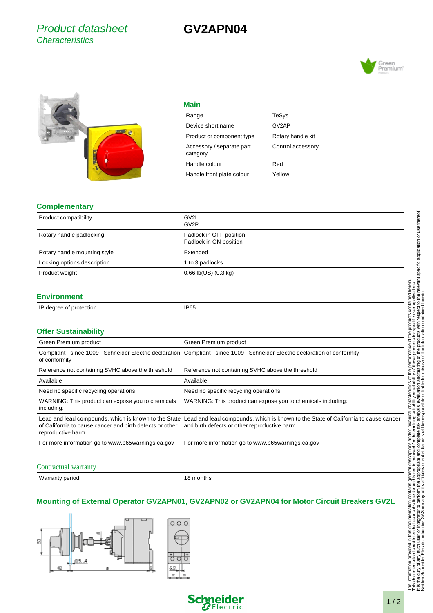## Product datasheet **Characteristics**

# **GV2APN04**



#### **Main**

| Range                                 | TeSys             |
|---------------------------------------|-------------------|
| Device short name                     | GV2AP             |
| Product or component type             | Rotary handle kit |
| Accessory / separate part<br>category | Control accessory |
| Handle colour                         | Red               |
| Handle front plate colour             | Yellow            |

#### **Complementary**

| Product compatibility        | GV <sub>2</sub> L<br>GV <sub>2</sub> P            |
|------------------------------|---------------------------------------------------|
| Rotary handle padlocking     | Padlock in OFF position<br>Padlock in ON position |
| Rotary handle mounting style | Extended                                          |
| Locking options description  | 1 to 3 padlocks                                   |
| Product weight               | $0.66$ lb(US) $(0.3$ kg)                          |

#### **Environment**

| $\overline{ }$      |           |
|---------------------|-----------|
| ctior<br>. н.<br>16 | DCL<br>u. |
| . .                 | __        |
|                     |           |

### **Offer Sustainability**

| Green Premium product                                                          | Green Premium product                                                                                                                                                                    |
|--------------------------------------------------------------------------------|------------------------------------------------------------------------------------------------------------------------------------------------------------------------------------------|
| of conformity                                                                  | Compliant - since 1009 - Schneider Electric declaration Compliant - since 1009 - Schneider Electric declaration of conformity                                                            |
| Reference not containing SVHC above the threshold                              | Reference not containing SVHC above the threshold                                                                                                                                        |
| Available                                                                      | Available                                                                                                                                                                                |
| Need no specific recycling operations                                          | Need no specific recycling operations                                                                                                                                                    |
| WARNING: This product can expose you to chemicals<br>including:                | WARNING: This product can expose you to chemicals including:                                                                                                                             |
| of California to cause cancer and birth defects or other<br>reproductive harm. | Lead and lead compounds, which is known to the State Lead and lead compounds, which is known to the State of California to cause cancer<br>and birth defects or other reproductive harm. |
| For more information go to www.p65warnings.ca.gov                              | For more information go to www.p65warnings.ca.gov                                                                                                                                        |

#### Contractual warranty

Warranty period 18 months

### **Mounting of External Operator GV2APN01, GV2APN02 or GV2APN04 for Motor Circuit Breakers GV2L**





Green<br>Premium'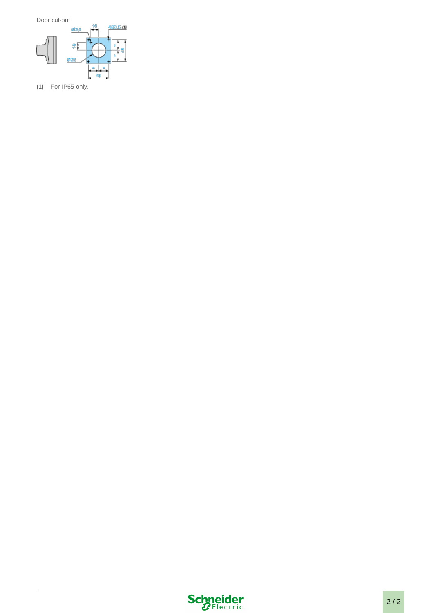